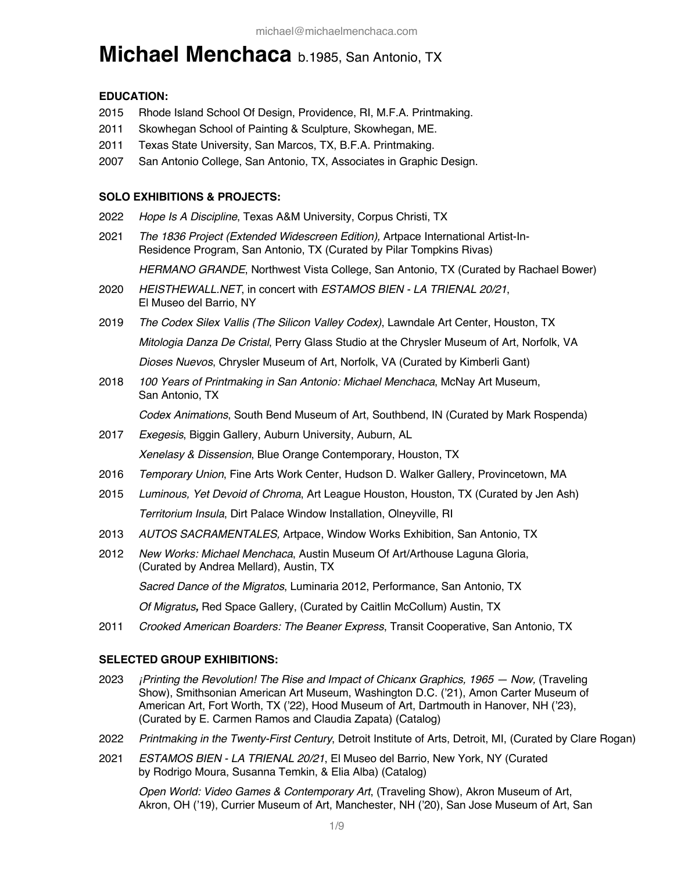# **Michael Menchaca** b.1985, San Antonio, TX

#### **EDUCATION:**

- 2015 Rhode Island School Of Design, Providence, RI, M.F.A. Printmaking.
- 2011 Skowhegan School of Painting & Sculpture, Skowhegan, ME.
- 2011 Texas State University, San Marcos, TX, B.F.A. Printmaking.
- 2007 San Antonio College, San Antonio, TX, Associates in Graphic Design.

#### **SOLO EXHIBITIONS & PROJECTS:**

- 2022 *Hope Is A Discipline*, Texas A&M University, Corpus Christi, TX
- 2021 *The 1836 Project (Extended Widescreen Edition),* Artpace International Artist-In-Residence Program, San Antonio, TX (Curated by Pilar Tompkins Rivas)

*HERMANO GRANDE*, Northwest Vista College, San Antonio, TX (Curated by Rachael Bower)

- 2020 *HEISTHEWALL.NET*, in concert with *ESTAMOS BIEN - LA TRIENAL 20/21*, El Museo del Barrio, NY
- 2019 *The Codex Silex Vallis (The Silicon Valley Codex)*, Lawndale Art Center, Houston, TX *Mitologia Danza De Cristal*, Perry Glass Studio at the Chrysler Museum of Art, Norfolk, VA *Dioses Nuevos*, Chrysler Museum of Art, Norfolk, VA (Curated by Kimberli Gant)
- 2018 *100 Years of Printmaking in San Antonio: Michael Menchaca*, McNay Art Museum, San Antonio, TX

*Codex Animations*, South Bend Museum of Art, Southbend, IN (Curated by Mark Rospenda)

- 2017 *Exegesis*, Biggin Gallery, Auburn University, Auburn, AL *Xenelasy & Dissension*, Blue Orange Contemporary, Houston, TX
- 2016 *Temporary Union*, Fine Arts Work Center, Hudson D. Walker Gallery, Provincetown, MA
- 2015 *Luminous, Yet Devoid of Chroma*, Art League Houston, Houston, TX (Curated by Jen Ash) *Territorium Insula*, Dirt Palace Window Installation, Olneyville, RI
- 2013 *AUTOS SACRAMENTALES,* Artpace, Window Works Exhibition, San Antonio, TX
- 2012 *New Works: Michael Menchaca*, Austin Museum Of Art/Arthouse Laguna Gloria, (Curated by Andrea Mellard), Austin, TX

*Sacred Dance of the Migratos*, Luminaria 2012, Performance, San Antonio, TX

*Of Migratus,* Red Space Gallery, (Curated by Caitlin McCollum) Austin, TX

2011 *Crooked American Boarders: The Beaner Express*, Transit Cooperative, San Antonio, TX

# **SELECTED GROUP EXHIBITIONS:**

- 2023 *¡Printing the Revolution! The Rise and Impact of Chicanx Graphics, 1965 — Now,* (Traveling Show), Smithsonian American Art Museum, Washington D.C. ('21), Amon Carter Museum of American Art, Fort Worth, TX ('22), Hood Museum of Art, Dartmouth in Hanover, NH ('23), (Curated by E. Carmen Ramos and Claudia Zapata) (Catalog)
- 2022 *Printmaking in the Twenty-First Century*, Detroit Institute of Arts, Detroit, MI, (Curated by Clare Rogan)
- 2021 *ESTAMOS BIEN - LA TRIENAL 20/21*, El Museo del Barrio, New York, NY (Curated by Rodrigo Moura, Susanna Temkin, & Elia Alba) (Catalog)

*Open World: Video Games & Contemporary Art*, (Traveling Show), Akron Museum of Art, Akron, OH ('19), Currier Museum of Art, Manchester, NH ('20), San Jose Museum of Art, San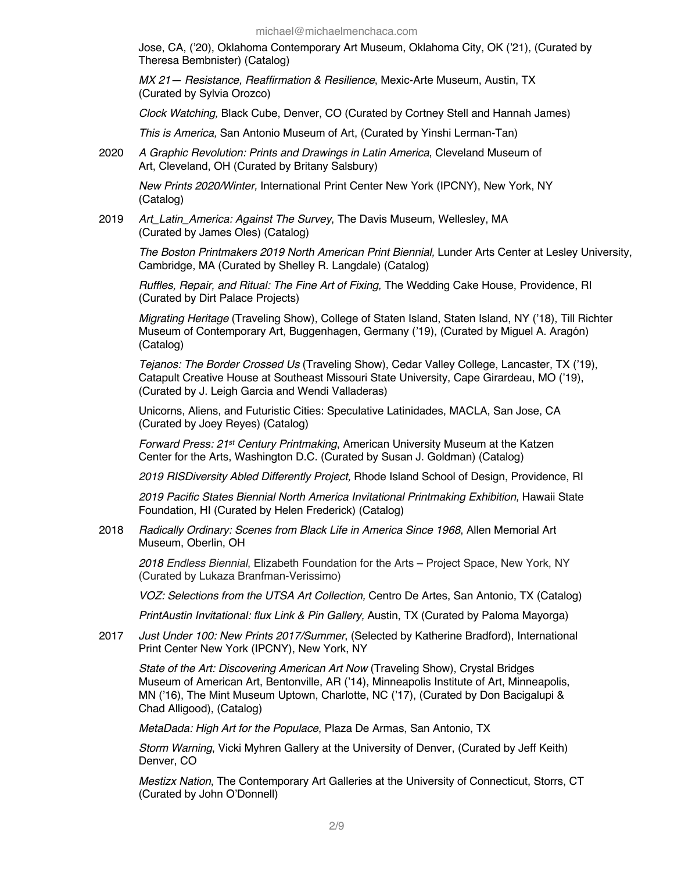Jose, CA, ('20), Oklahoma Contemporary Art Museum, Oklahoma City, OK ('21), (Curated by Theresa Bembnister) (Catalog)

*MX 21— Resistance, Reaffirmation & Resilience*, Mexic-Arte Museum, Austin, TX (Curated by Sylvia Orozco)

*Clock Watching,* Black Cube, Denver, CO (Curated by Cortney Stell and Hannah James)

*This is America,* San Antonio Museum of Art, (Curated by Yinshi Lerman-Tan)

2020 *A Graphic Revolution: Prints and Drawings in Latin America*, Cleveland Museum of Art, Cleveland, OH (Curated by Britany Salsbury)

*New Prints 2020/Winter,* International Print Center New York (IPCNY), New York, NY (Catalog)

2019 *Art\_Latin\_America: Against The Survey*, The Davis Museum, Wellesley, MA (Curated by James Oles) (Catalog)

*The Boston Printmakers 2019 North American Print Biennial,* Lunder Arts Center at Lesley University, Cambridge, MA (Curated by Shelley R. Langdale) (Catalog)

*Ruffles, Repair, and Ritual: The Fine Art of Fixing,* The Wedding Cake House, Providence, RI (Curated by Dirt Palace Projects)

*Migrating Heritage* (Traveling Show), College of Staten Island, Staten Island, NY ('18), Till Richter Museum of Contemporary Art, Buggenhagen, Germany ('19), (Curated by Miguel A. Aragón) (Catalog)

*Tejanos: The Border Crossed Us* (Traveling Show), Cedar Valley College, Lancaster, TX ('19), Catapult Creative House at Southeast Missouri State University, Cape Girardeau, MO ('19), (Curated by J. Leigh Garcia and Wendi Valladeras)

Unicorns, Aliens, and Futuristic Cities: Speculative Latinidades, MACLA, San Jose, CA (Curated by Joey Reyes) (Catalog)

*Forward Press: 21st Century Printmaking*, American University Museum at the Katzen Center for the Arts, Washington D.C. (Curated by Susan J. Goldman) (Catalog)

*2019 RISDiversity Abled Differently Project,* Rhode Island School of Design, Providence, RI

*2019 Pacific States Biennial North America Invitational Printmaking Exhibition,* Hawaii State Foundation, HI (Curated by Helen Frederick) (Catalog)

2018 *Radically Ordinary: Scenes from Black Life in America Since 1968*, Allen Memorial Art Museum, Oberlin, OH

*2018 Endless Biennial*, Elizabeth Foundation for the Arts – Project Space, New York, NY (Curated by Lukaza Branfman-Verissimo)

*VOZ: Selections from the UTSA Art Collection,* Centro De Artes, San Antonio, TX (Catalog)

*PrintAustin Invitational: flux Link & Pin Gallery,* Austin, TX (Curated by Paloma Mayorga)

2017 *Just Under 100: New Prints 2017/Summer*, (Selected by Katherine Bradford), International Print Center New York (IPCNY), New York, NY

*State of the Art: Discovering American Art Now* (Traveling Show), Crystal Bridges Museum of American Art, Bentonville, AR ('14), Minneapolis Institute of Art, Minneapolis, MN ('16), The Mint Museum Uptown, Charlotte, NC ('17), (Curated by Don Bacigalupi & Chad Alligood), (Catalog)

*MetaDada: High Art for the Populace*, Plaza De Armas, San Antonio, TX

*Storm Warning*, Vicki Myhren Gallery at the University of Denver, (Curated by Jeff Keith) Denver, CO

*Mestizx Nation*, The Contemporary Art Galleries at the University of Connecticut, Storrs, CT (Curated by John O'Donnell)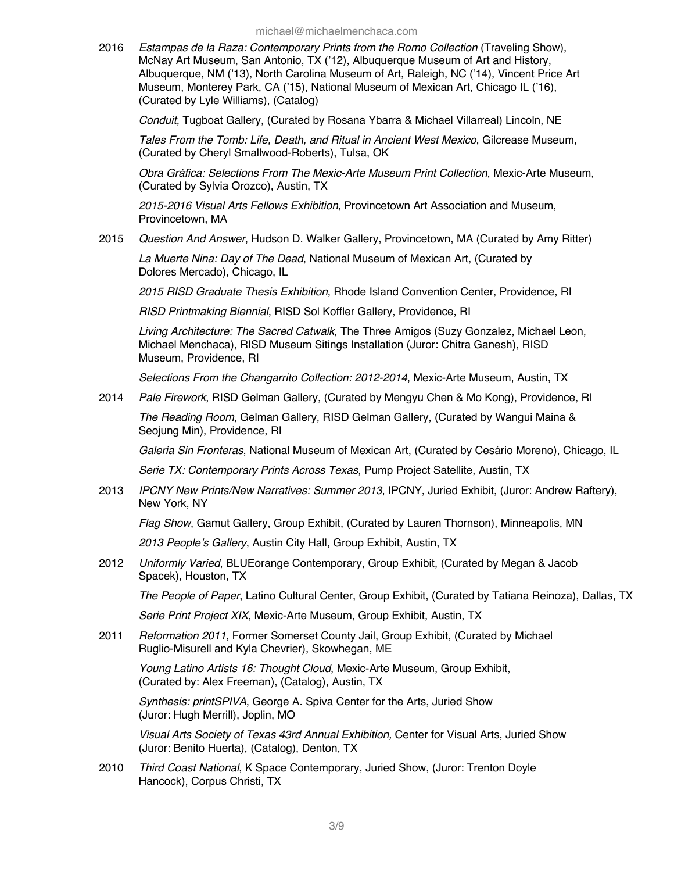2016 *Estampas de la Raza: Contemporary Prints from the Romo Collection* (Traveling Show), McNay Art Museum, San Antonio, TX ('12), Albuquerque Museum of Art and History, Albuquerque, NM ('13), North Carolina Museum of Art, Raleigh, NC ('14), Vincent Price Art Museum, Monterey Park, CA ('15), National Museum of Mexican Art, Chicago IL ('16), (Curated by Lyle Williams), (Catalog)

*Conduit*, Tugboat Gallery, (Curated by Rosana Ybarra & Michael Villarreal) Lincoln, NE

*Tales From the Tomb: Life, Death, and Ritual in Ancient West Mexico*, Gilcrease Museum, (Curated by Cheryl Smallwood-Roberts), Tulsa, OK

*Obra Gráfica: Selections From The Mexic-Arte Museum Print Collection*, Mexic-Arte Museum, (Curated by Sylvia Orozco), Austin, TX

*2015-2016 Visual Arts Fellows Exhibition*, Provincetown Art Association and Museum, Provincetown, MA

2015 *Question And Answer*, Hudson D. Walker Gallery, Provincetown, MA (Curated by Amy Ritter)

*La Muerte Nina: Day of The Dead*, National Museum of Mexican Art, (Curated by Dolores Mercado), Chicago, IL

*2015 RISD Graduate Thesis Exhibition*, Rhode Island Convention Center, Providence, RI

*RISD Printmaking Biennial*, RISD Sol Koffler Gallery, Providence, RI

*Living Architecture: The Sacred Catwalk,* The Three Amigos (Suzy Gonzalez, Michael Leon, Michael Menchaca), RISD Museum Sitings Installation (Juror: Chitra Ganesh), RISD Museum, Providence, RI

*Selections From the Changarrito Collection: 2012-2014*, Mexic-Arte Museum, Austin, TX

2014 *Pale Firework*, RISD Gelman Gallery, (Curated by Mengyu Chen & Mo Kong), Providence, RI

*The Reading Room*, Gelman Gallery, RISD Gelman Gallery, (Curated by Wangui Maina & Seojung Min), Providence, RI

*Galeria Sin Fronteras*, National Museum of Mexican Art, (Curated by Cesário Moreno), Chicago, IL

*Serie TX: Contemporary Prints Across Texas*, Pump Project Satellite, Austin, TX

2013 *IPCNY New Prints/New Narratives: Summer 2013*, IPCNY, Juried Exhibit, (Juror: Andrew Raftery), New York, NY

*Flag Show*, Gamut Gallery, Group Exhibit, (Curated by Lauren Thornson), Minneapolis, MN

*2013 People's Gallery*, Austin City Hall, Group Exhibit, Austin, TX

2012 *Uniformly Varied*, BLUEorange Contemporary, Group Exhibit, (Curated by Megan & Jacob Spacek), Houston, TX

*The People of Paper*, Latino Cultural Center, Group Exhibit, (Curated by Tatiana Reinoza), Dallas, TX

*Serie Print Project XIX*, Mexic-Arte Museum, Group Exhibit, Austin, TX

2011 *Reformation 2011*, Former Somerset County Jail, Group Exhibit, (Curated by Michael Ruglio-Misurell and Kyla Chevrier), Skowhegan, ME

*Young Latino Artists 16: Thought Cloud*, Mexic-Arte Museum, Group Exhibit, (Curated by: Alex Freeman), (Catalog), Austin, TX

*Synthesis: printSPIVA*, George A. Spiva Center for the Arts, Juried Show (Juror: Hugh Merrill), Joplin, MO

*Visual Arts Society of Texas 43rd Annual Exhibition,* Center for Visual Arts, Juried Show (Juror: Benito Huerta), (Catalog), Denton, TX

2010 *Third Coast National*, K Space Contemporary, Juried Show, (Juror: Trenton Doyle Hancock), Corpus Christi, TX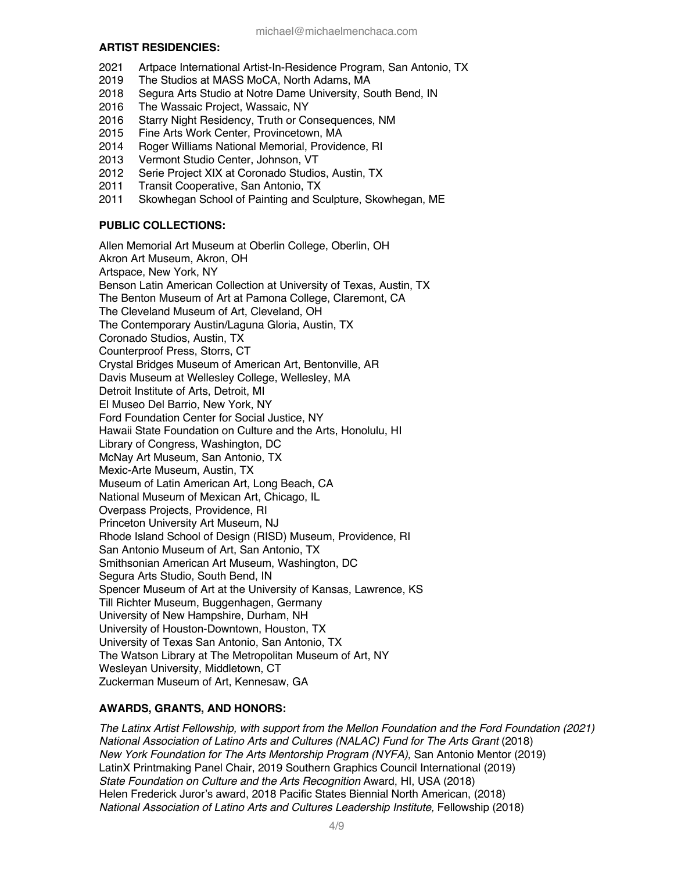#### **ARTIST RESIDENCIES:**

- 2021 Artpace International Artist-In-Residence Program, San Antonio, TX
- 2019 The Studios at MASS MoCA, North Adams, MA
- 2018 Segura Arts Studio at Notre Dame University, South Bend, IN
- 2016 The Wassaic Project, Wassaic, NY
- 2016 Starry Night Residency, Truth or Consequences, NM
- 2015 Fine Arts Work Center, Provincetown, MA
- 2014 Roger Williams National Memorial, Providence, RI
- 2013 Vermont Studio Center, Johnson, VT
- 2012 Serie Project XIX at Coronado Studios, Austin, TX
- 2011 Transit Cooperative, San Antonio, TX
- Skowhegan School of Painting and Sculpture, Skowhegan, ME

# **PUBLIC COLLECTIONS:**

Allen Memorial Art Museum at Oberlin College, Oberlin, OH Akron Art Museum, Akron, OH Artspace, New York, NY Benson Latin American Collection at University of Texas, Austin, TX The Benton Museum of Art at Pamona College, Claremont, CA The Cleveland Museum of Art, Cleveland, OH The Contemporary Austin/Laguna Gloria, Austin, TX Coronado Studios, Austin, TX Counterproof Press, Storrs, CT Crystal Bridges Museum of American Art, Bentonville, AR Davis Museum at Wellesley College, Wellesley, MA Detroit Institute of Arts, Detroit, MI El Museo Del Barrio, New York, NY Ford Foundation Center for Social Justice, NY Hawaii State Foundation on Culture and the Arts, Honolulu, HI Library of Congress, Washington, DC McNay Art Museum, San Antonio, TX Mexic-Arte Museum, Austin, TX Museum of Latin American Art, Long Beach, CA National Museum of Mexican Art, Chicago, IL Overpass Projects, Providence, RI Princeton University Art Museum, NJ Rhode Island School of Design (RISD) Museum, Providence, RI San Antonio Museum of Art, San Antonio, TX Smithsonian American Art Museum, Washington, DC Segura Arts Studio, South Bend, IN Spencer Museum of Art at the University of Kansas, Lawrence, KS Till Richter Museum, Buggenhagen, Germany University of New Hampshire, Durham, NH University of Houston-Downtown, Houston, TX University of Texas San Antonio, San Antonio, TX The Watson Library at The Metropolitan Museum of Art, NY Wesleyan University, Middletown, CT Zuckerman Museum of Art, Kennesaw, GA

# **AWARDS, GRANTS, AND HONORS:**

*The Latinx Artist Fellowship, with support from the Mellon Foundation and the Ford Foundation (2021) National Association of Latino Arts and Cultures (NALAC) Fund for The Arts Grant* (2018) *New York Foundation for The Arts Mentorship Program (NYFA)*, San Antonio Mentor (2019) LatinX Printmaking Panel Chair, 2019 Southern Graphics Council International (2019) *State Foundation on Culture and the Arts Recognition* Award, HI, USA (2018) Helen Frederick Juror's award, 2018 Pacific States Biennial North American, (2018) *National Association of Latino Arts and Cultures Leadership Institute,* Fellowship (2018)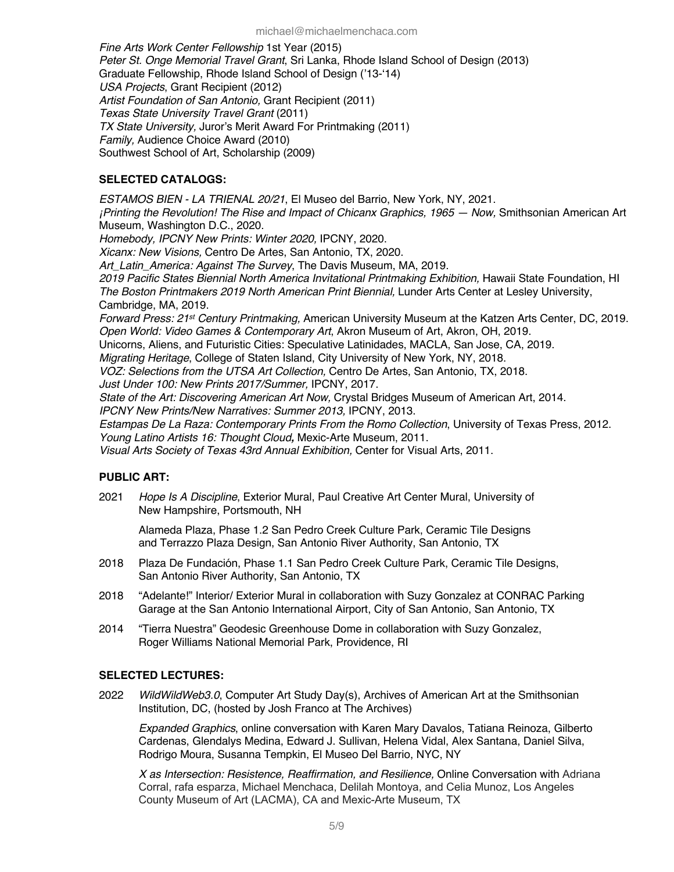*Fine Arts Work Center Fellowship* 1st Year (2015) *Peter St. Onge Memorial Travel Grant*, Sri Lanka, Rhode Island School of Design (2013) Graduate Fellowship, Rhode Island School of Design ('13-'14) *USA Projects*, Grant Recipient (2012) *Artist Foundation of San Antonio,* Grant Recipient (2011) *Texas State University Travel Grant* (2011) *TX State University,* Juror's Merit Award For Printmaking (2011) *Family,* Audience Choice Award (2010) Southwest School of Art, Scholarship (2009)

# **SELECTED CATALOGS:**

*ESTAMOS BIEN - LA TRIENAL 20/21*, El Museo del Barrio, New York, NY, 2021. *¡Printing the Revolution! The Rise and Impact of Chicanx Graphics, 1965 — Now,* Smithsonian American Art Museum, Washington D.C., 2020. *Homebody, IPCNY New Prints: Winter 2020,* IPCNY, 2020. *Xicanx: New Visions,* Centro De Artes, San Antonio, TX, 2020. *Art\_Latin\_America: Against The Survey*, The Davis Museum, MA, 2019. *2019 Pacific States Biennial North America Invitational Printmaking Exhibition,* Hawaii State Foundation, HI *The Boston Printmakers 2019 North American Print Biennial,* Lunder Arts Center at Lesley University, Cambridge, MA, 2019. *Forward Press: 21st Century Printmaking,* American University Museum at the Katzen Arts Center, DC, 2019. *Open World: Video Games & Contemporary Art*, Akron Museum of Art, Akron, OH, 2019. Unicorns, Aliens, and Futuristic Cities: Speculative Latinidades, MACLA, San Jose, CA, 2019. *Migrating Heritage*, College of Staten Island, City University of New York, NY, 2018. *VOZ: Selections from the UTSA Art Collection,* Centro De Artes, San Antonio, TX, 2018. *Just Under 100: New Prints 2017/Summer,* IPCNY, 2017. *State of the Art: Discovering American Art Now,* Crystal Bridges Museum of American Art, 2014. *IPCNY New Prints/New Narratives: Summer 2013,* IPCNY, 2013. *Estampas De La Raza: Contemporary Prints From the Romo Collection*, University of Texas Press, 2012. *Young Latino Artists 16: Thought Cloud,* Mexic-Arte Museum, 2011. *Visual Arts Society of Texas 43rd Annual Exhibition,* Center for Visual Arts, 2011.

# **PUBLIC ART:**

2021 *Hope Is A Discipline*, Exterior Mural, Paul Creative Art Center Mural, University of New Hampshire, Portsmouth, NH

Alameda Plaza, Phase 1.2 San Pedro Creek Culture Park, Ceramic Tile Designs and Terrazzo Plaza Design, San Antonio River Authority, San Antonio, TX

- 2018 Plaza De Fundación, Phase 1.1 San Pedro Creek Culture Park, Ceramic Tile Designs, San Antonio River Authority, San Antonio, TX
- 2018 "Adelante!" Interior/ Exterior Mural in collaboration with Suzy Gonzalez at CONRAC Parking Garage at the San Antonio International Airport, City of San Antonio, San Antonio, TX
- 2014 "Tierra Nuestra" Geodesic Greenhouse Dome in collaboration with Suzy Gonzalez, Roger Williams National Memorial Park, Providence, RI

# **SELECTED LECTURES:**

2022 *WildWildWeb3.0*, Computer Art Study Day(s), Archives of American Art at the Smithsonian Institution, DC, (hosted by Josh Franco at The Archives)

*Expanded Graphics*, online conversation with Karen Mary Davalos, Tatiana Reinoza, Gilberto Cardenas, Glendalys Medina, Edward J. Sullivan, Helena Vidal, Alex Santana, Daniel Silva, Rodrigo Moura, Susanna Tempkin, El Museo Del Barrio, NYC, NY

*X as Intersection: Resistence, Reaffirmation, and Resilience,* Online Conversation with Adriana Corral, rafa esparza, Michael Menchaca, Delilah Montoya, and Celia Munoz, Los Angeles County Museum of Art (LACMA), CA and Mexic-Arte Museum, TX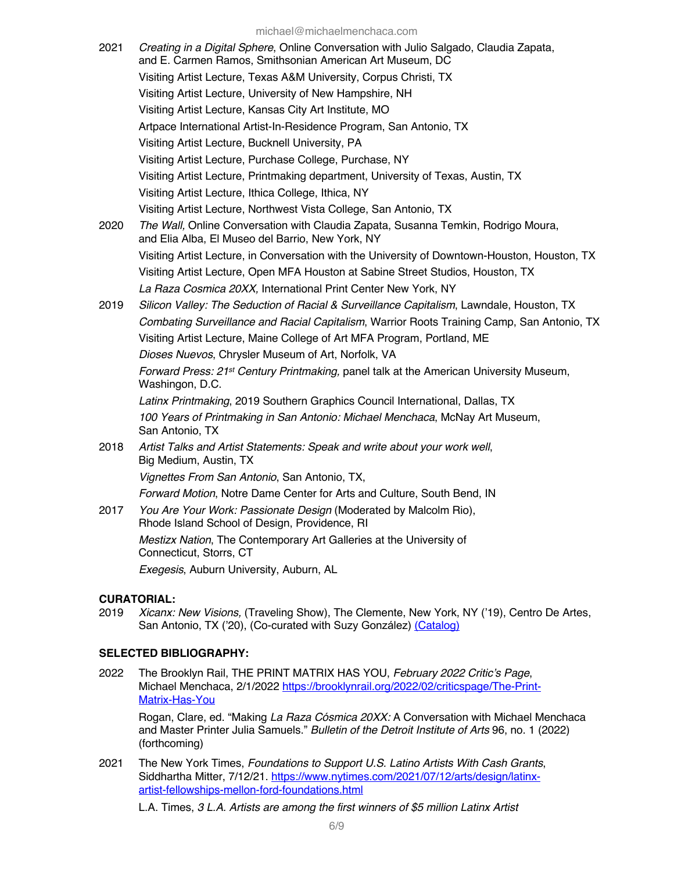michael@michaelmenchaca.com

|      | $1111011aE1 \& 1111011aE111E11011aUa.U01111$                                                                                                      |
|------|---------------------------------------------------------------------------------------------------------------------------------------------------|
| 2021 | Creating in a Digital Sphere, Online Conversation with Julio Salgado, Claudia Zapata,<br>and E. Carmen Ramos, Smithsonian American Art Museum, DC |
|      | Visiting Artist Lecture, Texas A&M University, Corpus Christi, TX                                                                                 |
|      | Visiting Artist Lecture, University of New Hampshire, NH                                                                                          |
|      | Visiting Artist Lecture, Kansas City Art Institute, MO                                                                                            |
|      | Artpace International Artist-In-Residence Program, San Antonio, TX                                                                                |
|      | Visiting Artist Lecture, Bucknell University, PA                                                                                                  |
|      | Visiting Artist Lecture, Purchase College, Purchase, NY                                                                                           |
|      | Visiting Artist Lecture, Printmaking department, University of Texas, Austin, TX                                                                  |
|      | Visiting Artist Lecture, Ithica College, Ithica, NY                                                                                               |
|      | Visiting Artist Lecture, Northwest Vista College, San Antonio, TX                                                                                 |
| 2020 | The Wall, Online Conversation with Claudia Zapata, Susanna Temkin, Rodrigo Moura,<br>and Elia Alba, El Museo del Barrio, New York, NY             |
|      | Visiting Artist Lecture, in Conversation with the University of Downtown-Houston, Houston, TX                                                     |
|      | Visiting Artist Lecture, Open MFA Houston at Sabine Street Studios, Houston, TX                                                                   |
|      | La Raza Cosmica 20XX, International Print Center New York, NY                                                                                     |
| 2019 | Silicon Valley: The Seduction of Racial & Surveillance Capitalism, Lawndale, Houston, TX                                                          |
|      | Combating Surveillance and Racial Capitalism, Warrior Roots Training Camp, San Antonio, TX                                                        |
|      | Visiting Artist Lecture, Maine College of Art MFA Program, Portland, ME                                                                           |
|      | Dioses Nuevos, Chrysler Museum of Art, Norfolk, VA                                                                                                |
|      | Forward Press: 21 <sup>st</sup> Century Printmaking, panel talk at the American University Museum,<br>Washingon, D.C.                             |
|      | Latinx Printmaking, 2019 Southern Graphics Council International, Dallas, TX                                                                      |
|      | 100 Years of Printmaking in San Antonio: Michael Menchaca, McNay Art Museum,<br>San Antonio, TX                                                   |
| 2018 | Artist Talks and Artist Statements: Speak and write about your work well,<br>Big Medium, Austin, TX                                               |
|      | Vignettes From San Antonio, San Antonio, TX,                                                                                                      |
|      | Forward Motion, Notre Dame Center for Arts and Culture, South Bend, IN                                                                            |
| 2017 | You Are Your Work: Passionate Design (Moderated by Malcolm Rio),<br>Rhode Island School of Design, Providence, RI                                 |
|      | Mestizx Nation, The Contemporary Art Galleries at the University of<br>Connecticut, Storrs, CT                                                    |
|      | Exegesis, Auburn University, Auburn, AL                                                                                                           |

# **CURATORIAL:**<br>2019 *Xicanx:*

Xicanx: New Visions, (Traveling Show), The Clemente, New York, NY ('19), Centro De Artes, San Antonio, TX ('20), (Co-curated with Suzy González) (Catalog)

#### **SELECTED BIBLIOGRAPHY:**

2022 The Brooklyn Rail, THE PRINT MATRIX HAS YOU, *February 2022 Critic's Page*, Michael Menchaca, 2/1/2022 https://brooklynrail.org/2022/02/criticspage/The-Print-Matrix-Has-You

Rogan, Clare, ed. "Making *La Raza Cósmica 20XX:* A Conversation with Michael Menchaca and Master Printer Julia Samuels." *Bulletin of the Detroit Institute of Arts* 96, no. 1 (2022) (forthcoming)

2021 The New York Times, *Foundations to Support U.S. Latino Artists With Cash Grants*, Siddhartha Mitter, 7/12/21. https://www.nytimes.com/2021/07/12/arts/design/latinxartist-fellowships-mellon-ford-foundations.html

L.A. Times, *3 L.A. Artists are among the first winners of \$5 million Latinx Artist*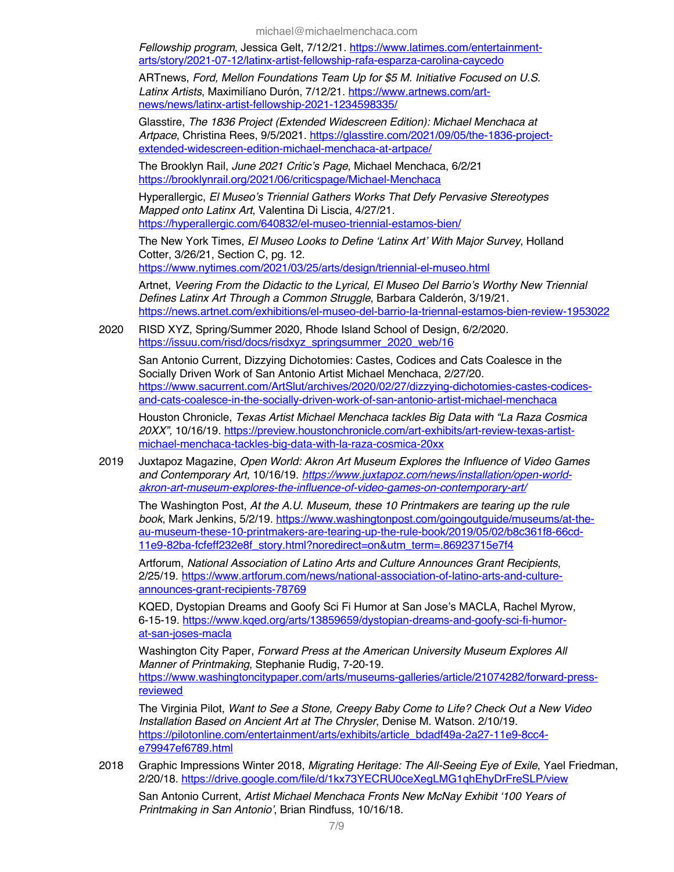*Fellowship program*, Jessica Gelt, 7/12/21. https://www.latimes.com/entertainmentarts/story/2021-07-12/latinx-artist-fellowship-rafa-esparza-carolina-caycedo

ARTnews, *Ford, Mellon Foundations Team Up for \$5 M. Initiative Focused on U.S. Latinx Artists*, Maximilíano Durón, 7/12/21. https://www.artnews.com/artnews/news/latinx-artist-fellowship-2021-1234598335/

Glasstire, *The 1836 Project (Extended Widescreen Edition): Michael Menchaca at Artpace*, Christina Rees, 9/5/2021. https://glasstire.com/2021/09/05/the-1836-projectextended-widescreen-edition-michael-menchaca-at-artpace/

The Brooklyn Rail, *June 2021 Critic's Page*, Michael Menchaca, 6/2/21 https://brooklynrail.org/2021/06/criticspage/Michael-Menchaca

Hyperallergic, *El Museo's Triennial Gathers Works That Defy Pervasive Stereotypes Mapped onto Latinx Art*, Valentina Di Liscia, 4/27/21. https://hyperallergic.com/640832/el-museo-triennial-estamos-bien/

The New York Times, *El Museo Looks to Define 'Latinx Art' With Major Survey*, Holland Cotter, 3/26/21, Section C, pg. 12.

https://www.nytimes.com/2021/03/25/arts/design/triennial-el-museo.html

Artnet, *Veering From the Didactic to the Lyrical, El Museo Del Barrio's Worthy New Triennial Defines Latinx Art Through a Common Struggle*, Barbara Calderón, 3/19/21. https://news.artnet.com/exhibitions/el-museo-del-barrio-la-triennal-estamos-bien-review-1953022

2020 RISD XYZ, Spring/Summer 2020, Rhode Island School of Design, 6/2/2020. https://issuu.com/risd/docs/risdxyz\_springsummer\_2020\_web/16

San Antonio Current, Dizzying Dichotomies: Castes, Codices and Cats Coalesce in the Socially Driven Work of San Antonio Artist Michael Menchaca, 2/27/20. https://www.sacurrent.com/ArtSlut/archives/2020/02/27/dizzying-dichotomies-castes-codicesand-cats-coalesce-in-the-socially-driven-work-of-san-antonio-artist-michael-menchaca

Houston Chronicle, *Texas Artist Michael Menchaca tackles Big Data with "La Raza Cosmica 20XX",* 10/16/19. https://preview.houstonchronicle.com/art-exhibits/art-review-texas-artistmichael-menchaca-tackles-big-data-with-la-raza-cosmica-20xx

2019 Juxtapoz Magazine, *Open World: Akron Art Museum Explores the Influence of Video Games and Contemporary Art,* 10/16/19. *https://www.juxtapoz.com/news/installation/open-worldakron-art-museum-explores-the-influence-of-video-games-on-contemporary-art/*

The Washington Post, *At the A.U. Museum, these 10 Printmakers are tearing up the rule book*, Mark Jenkins, 5/2/19. https://www.washingtonpost.com/goingoutguide/museums/at-theau-museum-these-10-printmakers-are-tearing-up-the-rule-book/2019/05/02/b8c361f8-66cd-11e9-82ba-fcfeff232e8f\_story.html?noredirect=on&utm\_term=.86923715e7f4

Artforum, *National Association of Latino Arts and Culture Announces Grant Recipients*, 2/25/19. https://www.artforum.com/news/national-association-of-latino-arts-and-cultureannounces-grant-recipients-78769

KQED, Dystopian Dreams and Goofy Sci Fi Humor at San Jose's MACLA, Rachel Myrow, 6-15-19. https://www.kqed.org/arts/13859659/dystopian-dreams-and-goofy-sci-fi-humorat-san-joses-macla

Washington City Paper, *Forward Press at the American University Museum Explores All Manner of Printmaking*, Stephanie Rudig, 7-20-19. https://www.washingtoncitypaper.com/arts/museums-galleries/article/21074282/forward-pressreviewed

The Virginia Pilot, *Want to See a Stone, Creepy Baby Come to Life? Check Out a New Video Installation Based on Ancient Art at The Chrysler*, Denise M. Watson. 2/10/19. https://pilotonline.com/entertainment/arts/exhibits/article\_bdadf49a-2a27-11e9-8cc4 e79947ef6789.html

2018 Graphic Impressions Winter 2018, *Migrating Heritage: The All-Seeing Eye of Exile*, Yael Friedman, 2/20/18. https://drive.google.com/file/d/1kx73YECRU0ceXegLMG1qhEhyDrFreSLP/view

San Antonio Current, *Artist Michael Menchaca Fronts New McNay Exhibit '100 Years of Printmaking in San Antonio'*, Brian Rindfuss, 10/16/18.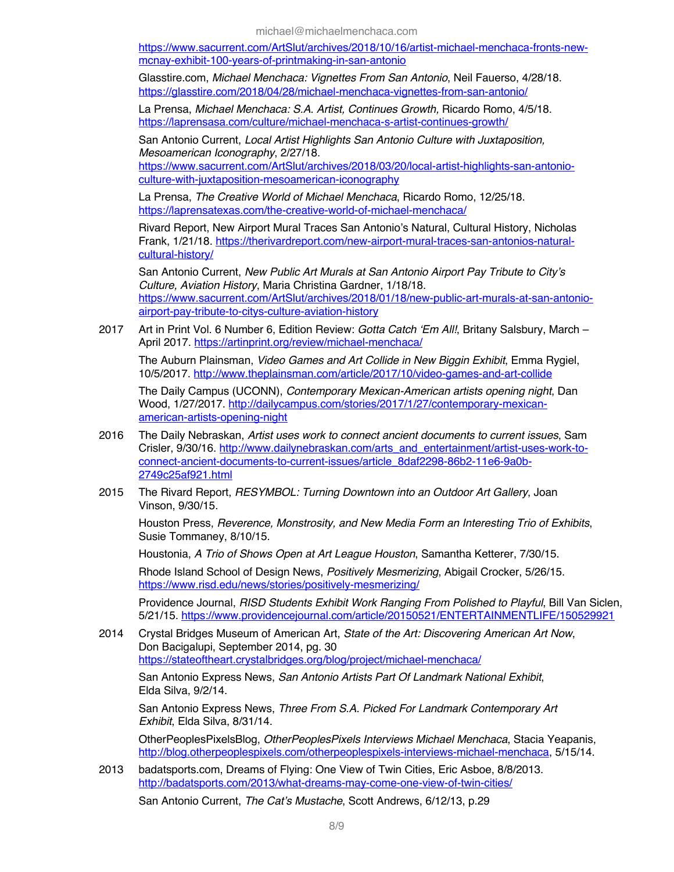https://www.sacurrent.com/ArtSlut/archives/2018/10/16/artist-michael-menchaca-fronts-newmcnay-exhibit-100-years-of-printmaking-in-san-antonio

Glasstire.com, *Michael Menchaca: Vignettes From San Antonio*, Neil Fauerso, 4/28/18. https://glasstire.com/2018/04/28/michael-menchaca-vignettes-from-san-antonio/

La Prensa, *Michael Menchaca: S.A. Artist, Continues Growth,* Ricardo Romo, 4/5/18. https://laprensasa.com/culture/michael-menchaca-s-artist-continues-growth/

San Antonio Current, *Local Artist Highlights San Antonio Culture with Juxtaposition, Mesoamerican Iconography*, 2/27/18.

https://www.sacurrent.com/ArtSlut/archives/2018/03/20/local-artist-highlights-san-antonioculture-with-juxtaposition-mesoamerican-iconography

La Prensa, *The Creative World of Michael Menchaca*, Ricardo Romo, 12/25/18. https://laprensatexas.com/the-creative-world-of-michael-menchaca/

Rivard Report, New Airport Mural Traces San Antonio's Natural, Cultural History, Nicholas Frank, 1/21/18. https://therivardreport.com/new-airport-mural-traces-san-antonios-naturalcultural-history/

San Antonio Current, *New Public Art Murals at San Antonio Airport Pay Tribute to City's Culture, Aviation History*, Maria Christina Gardner, 1/18/18. https://www.sacurrent.com/ArtSlut/archives/2018/01/18/new-public-art-murals-at-san-antonioairport-pay-tribute-to-citys-culture-aviation-history

2017 Art in Print Vol. 6 Number 6, Edition Review: *Gotta Catch 'Em All!*, Britany Salsbury, March – April 2017. https://artinprint.org/review/michael-menchaca/

The Auburn Plainsman, *Video Games and Art Collide in New Biggin Exhibit*, Emma Rygiel, 10/5/2017. http://www.theplainsman.com/article/2017/10/video-games-and-art-collide

The Daily Campus (UCONN), *Contemporary Mexican-American artists opening night*, Dan Wood, 1/27/2017. http://dailycampus.com/stories/2017/1/27/contemporary-mexicanamerican-artists-opening-night

- 2016 The Daily Nebraskan, *Artist uses work to connect ancient documents to current issues*, Sam Crisler, 9/30/16. http://www.dailynebraskan.com/arts\_and\_entertainment/artist-uses-work-toconnect-ancient-documents-to-current-issues/article\_8daf2298-86b2-11e6-9a0b-2749c25af921.html
- 2015 The Rivard Report, *RESYMBOL: Turning Downtown into an Outdoor Art Gallery*, Joan Vinson, 9/30/15.

Houston Press, *Reverence, Monstrosity, and New Media Form an Interesting Trio of Exhibits*, Susie Tommaney, 8/10/15.

Houstonia, *A Trio of Shows Open at Art League Houston*, Samantha Ketterer, 7/30/15.

Rhode Island School of Design News, *Positively Mesmerizing*, Abigail Crocker, 5/26/15. https://www.risd.edu/news/stories/positively-mesmerizing/

Providence Journal, *RISD Students Exhibit Work Ranging From Polished to Playful*, Bill Van Siclen, 5/21/15. https://www.providencejournal.com/article/20150521/ENTERTAINMENTLIFE/150529921

2014 Crystal Bridges Museum of American Art, *State of the Art: Discovering American Art Now*, Don Bacigalupi, September 2014, pg. 30 https://stateoftheart.crystalbridges.org/blog/project/michael-menchaca/

San Antonio Express News, *San Antonio Artists Part Of Landmark National Exhibit*, Elda Silva, 9/2/14.

San Antonio Express News, *Three From S.A. Picked For Landmark Contemporary Art Exhibit*, Elda Silva, 8/31/14.

OtherPeoplesPixelsBlog, *OtherPeoplesPixels Interviews Michael Menchaca*, Stacia Yeapanis, http://blog.otherpeoplespixels.com/otherpeoplespixels-interviews-michael-menchaca, 5/15/14.

2013 badatsports.com, Dreams of Flying: One View of Twin Cities, Eric Asboe, 8/8/2013. http://badatsports.com/2013/what-dreams-may-come-one-view-of-twin-cities/

San Antonio Current, *The Cat's Mustache*, Scott Andrews, 6/12/13, p.29